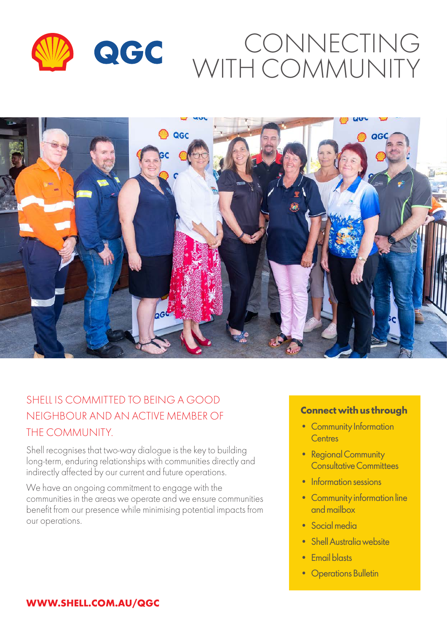



#### SHELL IS COMMITTED TO BEING A GOOD NEIGHBOUR AND AN ACTIVE MEMBER OF THE COMMUNITY.

Shell recognises that two-way dialogue is the key to building long-term, enduring relationships with communities directly and indirectly affected by our current and future operations.

We have an ongoing commitment to engage with the communities in the areas we operate and we ensure communities benefit from our presence while minimising potential impacts from our operations.

#### **Connect with us through**

- Community Information **Centres**
- Regional Community Consultative Committees
- Information sessions
- Community information line and mailbox
- Social media
- Shell Australia website
- Email blasts
- Operations Bulletin